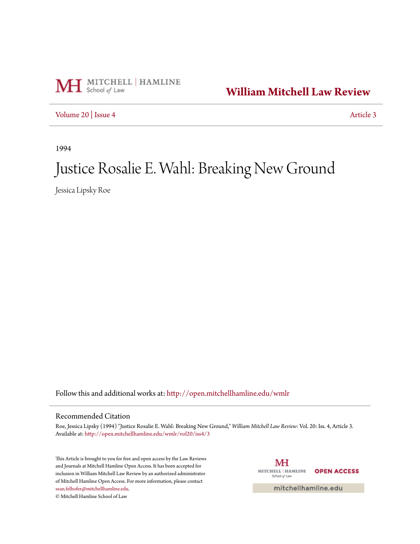

**[William Mitchell Law Review](http://open.mitchellhamline.edu/wmlr?utm_source=open.mitchellhamline.edu%2Fwmlr%2Fvol20%2Fiss4%2F3&utm_medium=PDF&utm_campaign=PDFCoverPages)**

[Volume 20](http://open.mitchellhamline.edu/wmlr/vol20?utm_source=open.mitchellhamline.edu%2Fwmlr%2Fvol20%2Fiss4%2F3&utm_medium=PDF&utm_campaign=PDFCoverPages) | [Issue 4](http://open.mitchellhamline.edu/wmlr/vol20/iss4?utm_source=open.mitchellhamline.edu%2Fwmlr%2Fvol20%2Fiss4%2F3&utm_medium=PDF&utm_campaign=PDFCoverPages) [Article 3](http://open.mitchellhamline.edu/wmlr/vol20/iss4/3?utm_source=open.mitchellhamline.edu%2Fwmlr%2Fvol20%2Fiss4%2F3&utm_medium=PDF&utm_campaign=PDFCoverPages)

1994

# Justice Rosalie E. Wahl: Breaking New Ground

Jessica Lipsky Roe

Follow this and additional works at: [http://open.mitchellhamline.edu/wmlr](http://open.mitchellhamline.edu/wmlr?utm_source=open.mitchellhamline.edu%2Fwmlr%2Fvol20%2Fiss4%2F3&utm_medium=PDF&utm_campaign=PDFCoverPages)

## Recommended Citation

Roe, Jessica Lipsky (1994) "Justice Rosalie E. Wahl: Breaking New Ground," *William Mitchell Law Review*: Vol. 20: Iss. 4, Article 3. Available at: [http://open.mitchellhamline.edu/wmlr/vol20/iss4/3](http://open.mitchellhamline.edu/wmlr/vol20/iss4/3?utm_source=open.mitchellhamline.edu%2Fwmlr%2Fvol20%2Fiss4%2F3&utm_medium=PDF&utm_campaign=PDFCoverPages)

This Article is brought to you for free and open access by the Law Reviews and Journals at Mitchell Hamline Open Access. It has been accepted for inclusion in William Mitchell Law Review by an authorized administrator of Mitchell Hamline Open Access. For more information, please contact [sean.felhofer@mitchellhamline.edu](mailto:sean.felhofer@mitchellhamline.edu). © Mitchell Hamline School of Law

МH MITCHELL | HAMLINE **OPEN ACCESS** School of Law

mitchellhamline.edu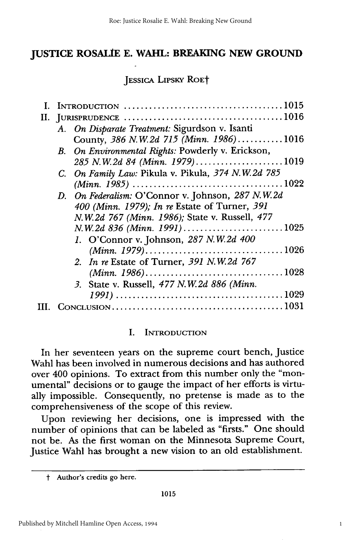## **JUSTICE ROSALIE E. WAHL: BREAKING NEW GROUND**

JESSICA **LIPSKY** ROEt

|  | I. INTRODUCTION $\ldots \ldots \ldots \ldots \ldots \ldots \ldots \ldots \ldots \ldots \ldots \ldots \ldots 1015$ |  |
|--|-------------------------------------------------------------------------------------------------------------------|--|
|  |                                                                                                                   |  |
|  | A. On Disparate Treatment: Sigurdson v. Isanti                                                                    |  |
|  | County, 386 N.W.2d 715 (Minn. 1986)1016                                                                           |  |
|  | B. On Environmental Rights: Powderly v. Erickson,                                                                 |  |
|  | 285 N.W.2d 84 (Minn. 1979)1019                                                                                    |  |
|  | C. On Family Law: Pikula v. Pikula, 374 N.W.2d 785                                                                |  |
|  |                                                                                                                   |  |
|  | D. On Federalism: O'Connor v. Johnson, 287 N.W.2d                                                                 |  |
|  | 400 (Minn. 1979); In re Estate of Turner, 391                                                                     |  |
|  | N.W.2d 767 (Minn. 1986); State v. Russell, 477                                                                    |  |
|  | $N.W.2d 836 (Minn. 1991)$ 1025                                                                                    |  |
|  | 1. O'Connor v. Johnson, 287 N.W.2d 400                                                                            |  |
|  |                                                                                                                   |  |
|  | 2. In re Estate of Turner, 391 N.W.2d 767                                                                         |  |
|  |                                                                                                                   |  |
|  | 3. State v. Russell, 477 N.W.2d 886 (Minn.                                                                        |  |
|  |                                                                                                                   |  |
|  |                                                                                                                   |  |
|  |                                                                                                                   |  |

#### **I.** INTRODUCTION

In her seventeen years on the supreme court bench, Justice Wahl has been involved in numerous decisions and has authored over 400 opinions. To extract from this number only the "monumental" decisions or to gauge the impact of her efforts is virtually impossible. Consequently, no pretense is made as to the comprehensiveness of the scope of this review.

Upon reviewing her decisions, one is impressed with the number of opinions that can be labeled as "firsts." One should not be. As the first woman on the Minnesota Supreme Court, Justice Wahl has brought a new vision to an old establishment.

t Author's credits go here.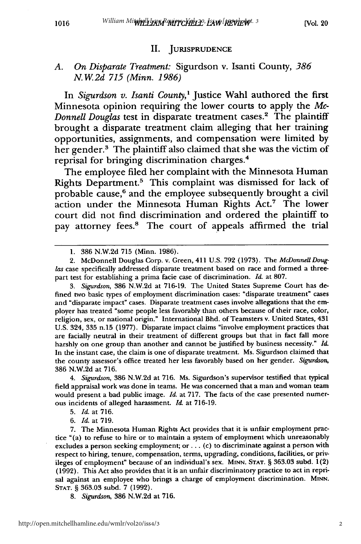#### II. JURISPRUDENCE

#### *A. On Disparate Treatment:* Sigurdson v. Isanti County, *386 N. W. 2d 715 (Minn. 1986)*

In *Sigurdson v. Isanti County,'* Justice Wahl authored the first Minnesota opinion requiring the lower courts to apply the *Mc-Donnell Douglas* test in disparate treatment cases.2 The plaintiff brought a disparate treatment claim alleging that her training opportunities, assignments, and compensation were limited by her gender.<sup>3</sup> The plaintiff also claimed that she was the victim of reprisal for bringing discrimination charges.4

The employee filed her complaint with the Minnesota Human Rights Department.<sup>5</sup> This complaint was dismissed for lack of probable cause,<sup>6</sup> and the employee subsequently brought a civil action under the Minnesota Human Rights Act.7 The lower court did not find discrimination and ordered the plaintiff to pay attorney fees.<sup>8</sup> The court of appeals affirmed the trial

1016

3. *Sigurdson,* 386 N.W.2d at 716-19. The United States Supreme Court has defined two basic types of employment discrimination cases: "disparate treatment" cases and "disparate impact" cases. Disparate treatment cases involve allegations that the employer has treated "some people less favorably than others because of their race, color, religion, sex, or national origin." International Bhd. of Teamsters v. United States, 431 U.S. 324, 335 n.15 (1977). Disparate impact claims "involve employment practices that are facially neutral in their treatment of different groups but that in fact fall more harshly on one group than another and cannot be justified by business necessity." *Id.* In the instant case, the claim is one of disparate treatment. Ms. Sigurdson claimed that the county assessor's office treated her less favorably based on her gender. *Sigurdson,* 386 N.W.2d at 716.

4. *Sigurdson,* 386 N.W.2d at 716. Ms. Sigurdson's supervisor testified that typical field appraisal work was done in teams. He was concerned that a man and woman team would present a bad public image. *Id.* at 717. The facts of the case presented numerous incidents of alleged harassment. *Id.* at 716-19.

6. *Id.* at 719.

7. The Minnesota Human Rights Act provides that it is unfair employment practice "(a) to refuse to hire or to maintain a system of employment which unreasonably excludes a person seeking employment; **or...** (c) to discriminate against a person with respect to hiring, tenure, compensation, terms, upgrading, conditions, facilities, or privileges of employment" because of an individual's sex. **MINN. STAT.** § 363.03 subd. 1(2) (1992). This Act also provides that it is an unfair discriminatory practice to act in reprisal against an employee who brings a charge of employment discrimination. MINN. STAT. § 363.03 subd. 7 (1992).

8. *Sigurdson,* 386 N.W.2d at 716.

<sup>1. 386</sup> N.W.2d **715** (Minn. 1986).

<sup>2.</sup> McDonnell Douglas Corp. v. Green, 411 U.S. **792 (1973).** The *McDonnell Douglas* case specifically addressed disparate treatment based on race and formed a threepart test for establishing a prima facie case of discrimination. *Id.* at 807.

<sup>5.</sup> *Id.* at 716.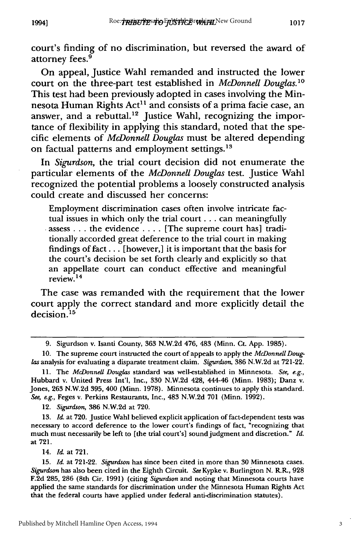court's finding of no discrimination, but reversed the award of attorney fees.<sup>9</sup>

On appeal, Justice Wahl remanded and instructed the lower court on the three-part test established in *McDonnell Douglas.1 "* This test had been previously adopted in cases involving the Minnesota Human Rights Act<sup>11</sup> and consists of a prima facie case, an answer, and a rebuttal.<sup>12</sup> Justice Wahl, recognizing the importance of flexibility in applying this standard, noted that the specific elements of *McDonnell Douglas* must be altered depending on factual patterns and employment settings.<sup>13</sup>

In *Sigurdson,* the trial court decision did not enumerate the particular elements of the *McDonnell Douglas* test. Justice Wahl recognized the potential problems a loosely constructed analysis could create and discussed her concerns:

Employment discrimination cases often involve intricate factual issues in which only the trial court **...** can meaningfully assess **...** the evidence **....** [The supreme court has] traditionally accorded great deference to the trial court in making findings of **fact...** [however,] it is important that the basis for the court's decision be set forth clearly and explicitly so that an appellate court can conduct effective and meaningful review. 14

The case was remanded with the requirement that the lower court apply the correct standard and more explicitly detail the  $decision.<sup>15</sup>$ 

12. *Sigurdson,* 386 N.W.2d at 720.

13. *Id.* at **720.** Justice Wahl believed explicit application of fact-dependent tests was necessary to accord deference to the lower court's findings of fact, "recognizing that much must necessarily be left to [the trial court's] sound judgment and discretion." *Id.* at 721.

14. *Id.* at 721.

15. *Id.* at 721-22. *Sigurdson* has since been cited in more than **30** Minnesota cases. *Sigurdson* has also been cited in the Eighth Circuit. *See* Kypke v. Burlington N. *RR.,* 928 F.2d 285, **286** (8th Cir. 1991) (citing *Sigurdson* and noting that Minnesota courts have applied the same standards for discrimination under the Minnesota Human Rights Act that the federal courts have applied under federal anti-discrimination statutes).

<sup>9.</sup> Sigurdson v. Isanti County, 363 N.W.2d 476, 483 (Minn. Ct. App. 1985).

<sup>10.</sup> The supreme court instructed the court of appeals to apply the *McDonnell Douglas* analysis for evaluating a disparate treatment claim. *Sigurdson,* 386 N.W.2d at 721-22.

<sup>11.</sup> The *McDonnell Douglas* standard was well-established in Minnesota. *See, e.g.,* Hubbard v. United Press Int'l, Inc., 330 N.W.2d 428, 444-46 (Minn. 1983); Danz v. Jones, 263 N.W.2d 395, 400 (Minn. 1978). Minnesota continues to apply this standard. *See, e.g.,* Feges v. Perkins Restaurants, Inc., 483 N.W.2d 701 (Minn. 1992).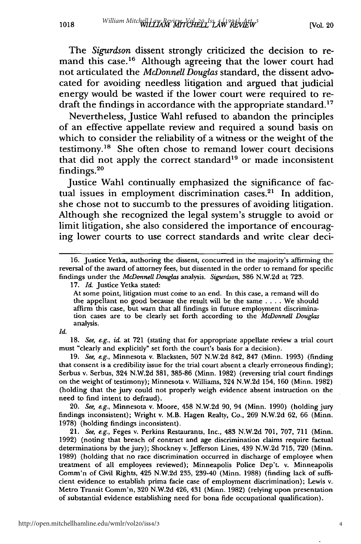William Mitchell Law Review MITCHELL<sup>Is</sup>LAW<sup>994</sup>/Atw<sup>3</sup>

The *Sigurdson* dissent strongly criticized the decision to remand this case.<sup>16</sup> Although agreeing that the lower court had not articulated the *McDonnell Douglas* standard, the dissent advocated for avoiding needless litigation and argued that judicial energy would be wasted if the lower court were required to redraft the findings in accordance with the appropriate standard.<sup>17</sup>

Nevertheless, Justice Wahl refused to abandon the principles of an effective appellate review and required a sound basis on which to consider the reliability of a witness or the weight of the testimony.18 She often chose to remand lower court decisions that did not apply the correct standard<sup>19</sup> or made inconsistent  $\rm{findings.}^{26}$ 

Justice Wahl continually emphasized the significance of factual issues in employment discrimination cases.<sup>21</sup> In addition, she chose not to succumb to the pressures of avoiding litigation. Although she recognized the legal system's struggle to avoid or limit litigation, she also considered the importance of encouraging lower courts to use correct standards and write clear deci-

At some point, litigation must come to an end. In this case, a remand will do the appellant no good because the result will be the same .... We should affirm this case, but warn that all findings in future employment discrimination cases are to be clearly set forth according to the *McDonnell Douglas* analysis.

*Id.*

**18.** See, e.g., *id.* at **721** (stating that for appropriate appellate review a trial court must "clearly and explicitly" set forth the court's basis for a decision).

**19.** *See, e.g.,* Minnesota v. Blacksten, **507 N.W.2d** 842, **847** (Minn. **1993)** (finding that consent is a credibility issue for the trial court absent a clearly erroneous finding); Serbus v. Serbus, 324 **N.W.2d 381, 385-86** (Minn. **1982)** (reversing trial court findings on the weight of testimony); Minnesota v. Williams, 324 **N.W.2d** 154, **160** (Minn. **1982)** (holding that the jury could not properly weigh evidence absent instruction on the need to find intent to defraud).

20. *See, e.g.,* Minnesota v. Moore, 458 **N.W.2d 90,** 94 (Minn. **1990)** (holding jury findings inconsistent); Wright v. M.B. Hagen Realty, Co., **269 N.W.2d 62, 66** (Minn. **1978)** (holding findings inconsistent).

21. *See, e.g.,* Feges v. Perkins Restaurants, Inc., 483 **N.W.2d 701, 707, 711** (Minn. **1992)** (noting that breach of contract and age discrimination claims require factual determinations **by** the jury); Shockney v. Jefferson Lines, 439 **N.W.2d 715, 720** (Minn. **1989)** (holding that no race discrimination occurred in discharge of employee when treatment of all employees reviewed); Minneapolis Police Dep't. v. Minneapolis Comm'n of Civil Rights, 425 **N.W.2d 235,** 239-40 (Minn. **1988)** (finding lack of sufficient evidence to establish prima facie case of employment discrimination); Lewis v. Metro Transit Comm'n, **320 N.W.2d** 426, 431 (Minn. **1982)** (relying upon presentation of substantial evidence establishing need for bona fide occupational qualification).

1018

**<sup>16.</sup>** Justice Yetka, authoring the dissent, concurred in the majority's affirming the reversal of the award of attorney fees, but dissented in the order to remand for specific findings under the *McDonnell Douglas* analysis. *Sigurdson,* **386 N.W.2d** at **723.**

**<sup>17.</sup>** *Id.* Justice Yetka stated: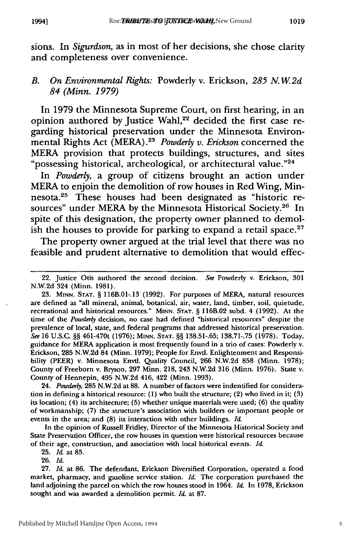sions. In *Sigurdson,* as in most of her decisions, she chose clarity and completeness over convenience.

## *B. On Environmental Rights:* Powderly v. Erickson, *285 N. W 2d 84 (Minn. 1979)*

In 1979 the Minnesota Supreme Court, on first hearing, in an opinion authored by Justice Wahl,<sup>22</sup> decided the first case regarding historical preservation under the Minnesota Environmental Rights Act (MERA).2S *Powderly v. Erickson* concerned the MERA provision that protects buildings, structures, and sites "possessing historical, archeological, or architectural value."24

In *Powderly,* a group of citizens brought an action under MERA to enjoin the demolition of row houses in Red Wing, Minnesota.<sup>25</sup> These houses had been designated as "historic resources" under MERA by the Minnesota Historical Society.<sup>26</sup> In spite of this designation, the property owner planned to demolish the houses to provide for parking to expand a retail space.<sup>27</sup>

The property owner argued at the trial level that there was no feasible and prudent alternative to demolition that would effec-

24. *Powderly,* 285 N.W.2d at 88. A number of factors were indentified for consideration in defining a historical resource: (1) who built the structure; (2) who lived in it; (3) its location; (4) its architecture; (5) whether unique materials were used; (6) the quality of workmanship; (7) the structure's association with builders or important people or events in the area; and (8) its interaction with other buildings. *Id.*

In the opinion of Russell Fridley, Director of the Minnesota Historical Society and State Preservation Officer, the row houses in question were historical resources because of their age, construction, and association with local historical events. *Id.*

26. *Id.*

<sup>22.</sup> Justice Otis authored the second decision. *See* Powderly v. Erickson, 301 N.W.2d 324 (Minn. 1981).

<sup>23.</sup> **MINN. STAT.** § 116B.01-.13 (1992). For purposes of MERA, natural resources are defined as "all mineral, animal, botanical, air, water, land, timber, soil, quietude, recreational and historical resources." **MINN. STAT.** § 116B.02 subd. 4 (1992). At the time of the *Powderly* decision, no case had defined "historical resources" despite the prevalence of local, state, and federal programs that addressed historical preservation. *See* 16 U.S.C. §§ 461-470t (1976); **MINN. STAT.** §§ 138.51-.65; 138.71-.75 (1978). Today, guidance for MERA application is most frequently found in a trio of cases: Powderly v. Erickson, 285 N.W.2d 84 (Minn. 1979); People for Envtl. Enlightenment and Responsibility (PEER) v. Minnesota Envtl. Quality Council, 266 N.W.2d 858 (Minn. 1978); County of Freeborn v. Bryson, 297 Minn. 218, 243 N.W.2d 316 (Minn. 1976). State v. County of Hennepin, 495 N.W.2d 416, 422 (Minn. 1993).

<sup>25.</sup> *Id.* at 85.

<sup>27.</sup> *Id.* at 86. The defendant, Erickson Diversified Corporation, operated a food market, pharmacy, and gasoline service station. *Id.* The corporation purchased the land adjoining the parcel on which the row houses stood in 1964. *Id.* In 1978, Erickson sought and was awarded a demolition permit. *Id.* at 87.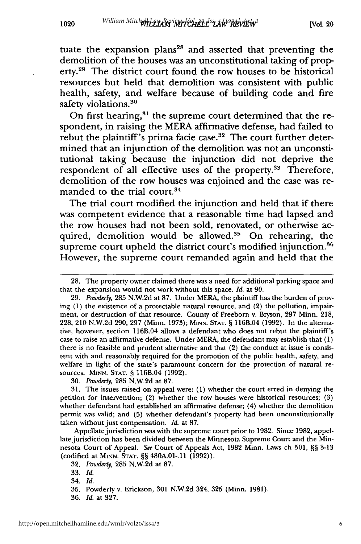tuate the expansion plans<sup>28</sup> and asserted that preventing the demolition of the houses was an unconstitutional taking of property.<sup>29</sup> The district court found the row houses to be historical resources but held that demolition was consistent with public health, safety, and welfare because of building code and fire safety violations.<sup>30</sup>

On first hearing,<sup>31</sup> the supreme court determined that the respondent, in raising the MERA affirmative defense, had failed to rebut the plaintiff's prima facie case.<sup>32</sup> The court further determined that an injunction of the demolition was not an unconstitutional taking because the injunction did not deprive the respondent of all effective uses of the property.<sup>33</sup> Therefore, demolition of the row houses was enjoined and the case was remanded to the trial court.<sup>34</sup>

The trial court modified the injunction and held that if there was competent evidence that a reasonable time had lapsed and the row houses had not been sold, renovated, or otherwise acquired, demolition would be allowed. $35$  On rehearing, the supreme court upheld the district court's modified injunction.<sup>36</sup> However, the supreme court remanded again and held that the

**<sup>28.</sup>** The property owner claimed there was a need for additional parking space and that the expansion would not work without this space. *Id.* at 90.

<sup>29.</sup> *Powderly,* 285 N.W.2d at 87. Under MERA, the plaintiff has the burden of proving (1) the existence of a protectable natural resource, and (2) the pollution, impairment, or destruction of that resource. County of Freeborn v. Bryson, 297 Minn. 218, 228, 210 N.W.2d 290, 297 (Minn. 1973); **MINN. STAT.** § 116B.04 (1992). In the alternative, however, section 116B.04 allows a defendant who does not rebut the plaintiff's case to raise an affirmative defense. Under MERA, the defendant may establish that (1) there is no feasible and prudent alternative and that  $(2)$  the conduct at issue is consistent with and reasonably required for the promotion of the public health, safety, and welfare in light of the state's paramount concern for the protection of natural resources. MINN. **STAT.** § 116B.04 (1992).

<sup>30.</sup> *Powderly,* 285 N.W.2d at 87.

**<sup>31.</sup>** The issues raised on appeal were: (1) whether the court erred in denying the petition for intervention; (2) whether the row houses were historical resources; (3) whether defendant had established an affirmative defense; (4) whether the demolition permit was valid; and (5) whether defendant's property had been unconstitutionally taken without just compensation. *Id.* at **87.**

Appellate jurisdiction was with the supreme court prior to 1982. Since 1982, appellate jurisdiction has been divided between the Minnesota Supreme Court and the Minnesota Court of Appeal. *See* Court of Appeals Act, 1982 Minn. Laws ch 501, §§ 3-13 (codified at **MINN. STAT.** §§ 480A.01-.11 (1992)).

<sup>32.</sup> *Powderly,* **285** N.W.2d at 87.

<sup>33.</sup> *Id.*

<sup>34.</sup> *Id.*

**<sup>35.</sup>** Powderly v. Erickson, **301 N.W.2d** 324, **325** (Minn. **1981).**

**<sup>36.</sup>** *Id.* at **327.**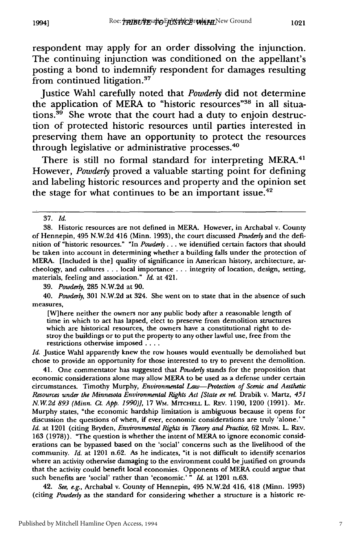respondent may apply for an order dissolving the injunction. The continuing injunction was conditioned on the appellant's posting a bond to indemnify respondent for damages resulting from continued litigation.<sup>37</sup>

Justice Wahl carefully noted that *Powderly* did not determine the application of MERA to "historic resources"<sup>38</sup> in all situations. $39$  She wrote that the court had a duty to enjoin destruction of protected historic resources until parties interested in preserving them have an opportunity to protect the resources through legislative or administrative processes.<sup>40</sup>

There is still no formal standard for interpreting MERA.<sup>41</sup> However, *Powderly* proved a valuable starting point for defining and labeling historic resources and property and the opinion set the stage for what continues to be an important issue. $42$ 

39. *Powderly,* 285 N.W.2d at 90.

40. *Powderly,* 301 N.W.2d at 324. She went on to state that in the absence of such measures,

[W] here neither the owners nor any public body after a reasonable length of time in which to act has lapsed, elect to preserve from demolition structures which are historical resources, the owners have a constitutional right to destroy the buildings or to put the property to any other lawful use, free from the restrictions otherwise imposed ....

*Id.* Justice Wahl apparently knew the row houses would eventually be demolished but chose to provide an opportunity for those interested to try to prevent the demolition.

41. One commentator has suggested that *Powderly* stands for the proposition that economic considerations alone may allow MERA to be used as a defense under certain circumstances. Timothy Murphy, *Environmental Law-Protection of Scenic and Aesthetic Resources under the Minnesota Environmental Rights Act [State ex rel.* Drabik v. Martz, *451 N.W2d 893 (Minn. Ct. App. 1990)],* 17 WM. **MITCHELL** L. REv. 1190, 1200 (1991). Mr. Murphy states, "the economic hardship limitation is ambiguous because it opens for discussion the questions of when, if ever, economic considerations are truly 'alone.'" *Id.* at 1201 (citing Bryden, *Environmental Rights in Theory and Practice,* 62 **MINN.** L. REV. 163 (1978)). "The question is whether the intent of MERA to ignore economic considerations can be bypassed based on the 'social' concerns such as the livelihood of the community. *Id.* at 1201 n.62. As he indicates, "it is not difficult to identify scenarios where an activity otherwise damaging to the environment could be justified on grounds that the activity could benefit local economies. Opponents of MERA could argue that such benefits are 'social' rather than 'economic.' **"** *Id.* at 1201 n.63.

42. *See, e.g.,* Archabal v. County of Hennepin, 495 **N.W.2d** 416, 418 (Minn. **1993)** (citing *Powderly* as the standard for considering whether a structure is a historic re-

<sup>37.</sup> *Id.*

<sup>38.</sup> Historic resources are not defined in MERA. However, in Archabal v. County of Hennepin, 495 N.W.2d 416 (Minn. 1993), the court discussed *Powderly* and the definition of "historic resources." "In *Powderly...* we identified certain factors that should be taken into account in determining whether a building falls under the protection of MERA. [Included is the] quality of significance in American history, architecture, archeology, and cultures **...** local importance .. . integrity of location, design, setting, materials, feeling and association." *Id.* at 421.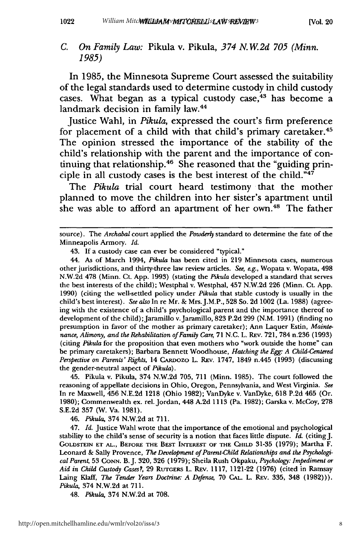In 1985, the Minnesota Supreme Court assessed the suitability of the legal standards used to determine custody in child custody cases. What began as a typical custody case, $43$  has become a landmark decision in family law.<sup>44</sup>

Justice Wahl, in *Pikula,* expressed the court's firm preference for placement of a child with that child's primary caretaker.<sup>45</sup> The opinion stressed the importance of the stability of the child's relationship with the parent and the importance of continuing that relationship. 46 She reasoned that the "guiding principle in all custody cases is the best interest of the child."47

The *Pikula* trial court heard testimony that the mother planned to move the children into her sister's apartment until she was able to afford an apartment of her own.<sup>48</sup> The father

44. As of March 1994, *Pikula* has been cited in 219 Minnesota cases, numerous other jurisdictions, and thirty-three law review articles. *See, e.g.,* Wopata v. Wopata, 498 N.W.2d 478 (Minn. Ct. App. 1993) (stating the *Pikula* developed a standard that serves the best interests of the child); Westphal v. Westphal, 457 N.W.2d 226 (Minn. Ct. App. 1990) (citing the well-settled policy under *Pikula* that stable custody is usually in the child's best interest). *See also* In re Mr. & Mrs.J.M.P., 528 So. 2d 1002 (La. 1988) (agreeing with the existence of a child's psychological parent and the importance thereof to development of the child); Jaramillo v. Jaramillo, 823 P.2d 299 (N.M. 1991) (finding no presumption in favor of the mother as primary caretaker); Ann Laquer Estin, *Maintenance, Alimony, and the Rehabilitation of Family Care,* **71 N.C.** L. **REv. 721, 784** n.236 **(1993)** (citing *Pikula* for the proposition that even mothers who "work outside the home" can be primary caretakers); Barbara Bennett Woodhouse, *Hatching the Egg: A Child-Centered Perspective on Parents' Rights,* 14 C.Anozo L. REv. **1747,** 1849 n.445 **(1993)** (discussing the gender-neutral aspect of *Pikula).*

45. Pikula v. Pikula, 374 **N.W.2d 705, 711** (Minn. **1985).** The court followed the reasoning of appellate decisions in Ohio, Oregon, Pennsylvania, and West Virginia. *See* In re Maxwell, 456 **N.E.2d 1218** (Ohio **1982);** VanDyke v. VanDyke, **618 P.2d** 465 (Or. **1980);** Commenwealth ex. rel. Jordan, 448 **A.2d 1113** (Pa. **1982);** Garska v. McCoy, **278 S.E.2d 357** (W. Va. **1981).**

46. *Pikula,* 374 **N.W.2d** at **711.**

47. *Id.* Justice Wahl wrote that the importance of the emotional and psychological stability to the child's sense of security is a notion that faces little dispute. *Id.* (citingJ. **GOLDSTEIN ET AL., BEFORE** THE **BEST INTEREST OF THE CHILD 31-35 (1979);** Martha F. Leonard **&** Sally Provence, *The Development of Parent-Child Relationships and the Psychological Parent,* **53** CoNN. B. **J. 320, 326 (1979);** Sheila Rush Okpaku, *Psychology: Impediment or Aid in Child Custody Cases?,* **29 RuTGERs** L. REv. **1117,** 1121-22 **(1976)** (cited in Ramsay Laing Klaff, *The Tender Years Doctrine: A Defense,* **70 CAL.** L. Rxv. **335,** 348 **(1982))).** *Pikula,* 374 **N.W.2d** at **711.**

48. *Pikula,* 374 **N.W.2d** at **708.**

source). The *Archabal* court applied the *Powderly* standard to determine the fate of the Minneapolis Armory. *Id.*

<sup>43.</sup> If a custody case can ever be considered "typical."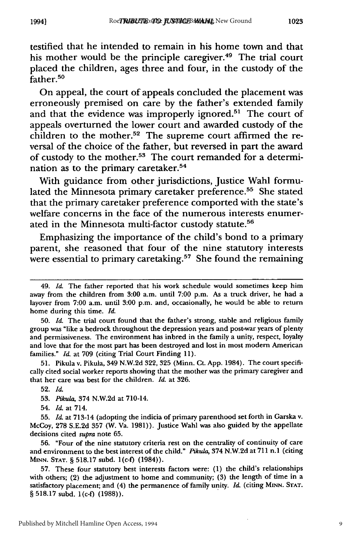testified that he intended to remain in his home town and that his mother would be the principle caregiver.<sup>49</sup> The trial court placed the children, ages three and four, in the custody of the father.<sup>50</sup>

On appeal, the court of appeals concluded the placement was erroneously premised on care by the father's extended family and that the evidence was improperly ignored.<sup>51</sup> The court of appeals overturned the lower court and awarded custody of the children to the mother.<sup>52</sup> The supreme court affirmed the reversal of the choice of the father, but reversed in part the award of custody to the mother.53 The court remanded for a determination as to the primary caretaker.<sup>54</sup>

With guidance from other jurisdictions, Justice Wahl formulated the Minnesota primary caretaker preference.<sup>55</sup> She stated that the primary caretaker preference comported with the state's welfare concerns in the face of the numerous interests enumerated in the Minnesota multi-factor custody statute.<sup>56</sup>

Emphasizing the importance of the child's bond to a primary parent, she reasoned that four of the nine statutory interests were essential to primary caretaking.<sup>57</sup> She found the remaining

**51.** Pikula v. Pikula, 349 N.W.2d **322, 325** (Minn. Ct. App. 1984). The court specifically cited social worker reports showing that the mother was the primary caregiver and that her care was best for the children. *Id.* at **326.**

**56.** "Four of the nine statutory criteria rest on the centrality of continuity of care and environment to the best interest of the child." *Piku/a,* 374 **N.W.2d** at **711** n.1 (citing **MINN. STAT.** § **518.17** subd. l(c-f) (1984)).

**57.** These four statutory best interests factors were: **(1)** the child's relationships with others; (2) the adjustment to home and community; **(3)** the length of time in a satisfactory placement; and (4) the permanence of family unity. *Id.* (citing **MINN. STAT.** § **518.17** subd. l(c-f) **(1988)).**

9

<sup>49.</sup> *Id.* The father reported that his work schedule would sometimes keep him away from the children from 3:00 a.m. until 7:00 p.m. As a truck driver, he had a layover from 7:00 a.m. until 3:00 p.m. and, occasionally, he would be able to return home during this time. *Id.*

**<sup>50.</sup>** *Id.* The trial court found that the father's strong, stable and religious family group was "like a bedrock throughout the depression years and post-war years of plenty and permissiveness. The environment has inbred in the family a unity, respect, loyalty and love that for the most part has been destroyed and lost in most modem American families." *Id.* at 709 (citing Trial Court Finding 11).

**<sup>52.</sup>** *Id.*

**<sup>53.</sup>** *Pikula,* 374 **N.W.2d** at 710-14.

<sup>54.</sup> *Id.* at 714.

**<sup>55.</sup>** *Id.* at 713-14 (adopting the indicia of primary parenthood set forth in Garska v. McCoy, **278 S.E.2d 357** (W. Va. **1981)).** Justice Wahl was also guided **by** the appellate decisions cited *supra* note **65.**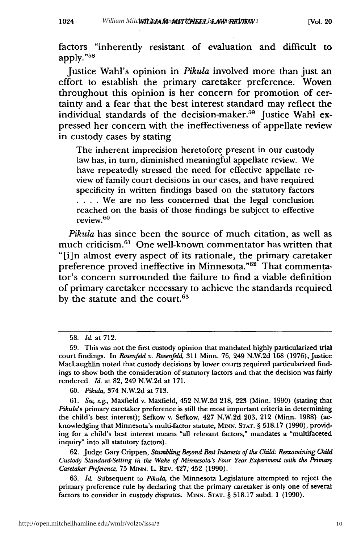factors "inherently resistant of evaluation and difficult to apply."58

Justice Wahl's opinion in *Pikula* involved more than just an effort to establish the primary caretaker preference. Woven throughout this opinion is her concern for promotion of certainty and a fear that the best interest standard may reflect the individual standards of the decision-maker.<sup>59</sup> Justice Wahl expressed her concern with the ineffectiveness of appellate review in custody cases by stating

The inherent imprecision heretofore present in our custody law has, in turn, diminished meaningful appellate review. We have repeatedly stressed the need for effective appellate review of family court decisions in our cases, and have required specificity in written findings based on the statutory factors **... .** We are no less concerned that the legal conclusion reached on the basis of those findings be subject to effective review. <sup>60</sup>

*Pikula* has since been the source of much citation, as well as much criticism. 61 One well-known commentator has written that "[i]n almost every aspect of its rationale, the primary caretaker preference proved ineffective in Minnesota."<sup>62</sup> That commentator's concern surrounded the failure to find a viable definition of primary caretaker necessary to achieve the standards required by the statute and the court.<sup>63</sup>

61. *See, e.g.,* Maxfield v. Maxfield, 452 N.W.2d 218, 223 (Minn. 1990) (stating that *Pikula's* primary caretaker preference is still the most important criteria in determining the child's best interest); Sefkow v. Sefkow, 427 **N.W.2d 203,** 212 (Minn. **1988)** (acknowledging that Minnesota's multi-factor statute, **MINN. STAT.** § **518.17 (1990),** providing for a child's best interest means "all relevant factors," mandates a "multifaceted inquiry" into all statutory factors).

62. Judge Gary Crippen, *Stumbling Beyond Best Interests of the Child: Reexamining Child Custody Standard-Setting in the Wake of Minnesota's Four Year Experiment with the Primary Caretaker Preference,* 75 **MINN.** L. REv. 427, 452 (1990).

63. *Id.* Subsequent to *Pikula,* the Minnesota Legislature attempted to reject the primary preference rule by declaring that the primary caretaker is only one of several factors to consider in custody disputes. **MINN. STAT.** § 518.17 subd. 1 (1990).

<sup>58.</sup> *Id.* at 712.

<sup>59.</sup> This was not the first custody opinion that mandated highly particularized trial court findings. In *Rosenfeld v. Rosenfeld,* **311** Minn. **76,** 249 N.W.2d 168 **(1976),** Justice MacLaughlin noted that custody decisions by lower courts required particularized findings to show both the consideration of statutory factors and that the decision was fairly rendered. *Id.* at 82, 249 N.W.2d at 171.

<sup>60.</sup> *Pikula,* 374 N.W.2d at 713.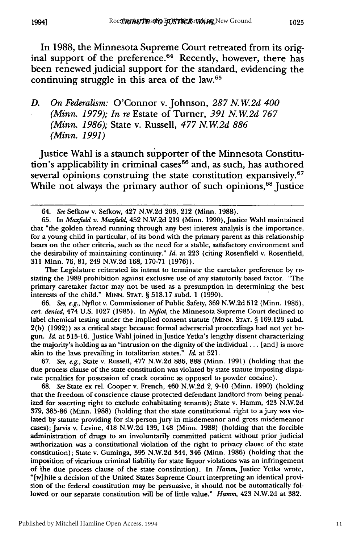In **1988,** the Minnesota Supreme Court retreated from its original support of the preference.<sup>64</sup> Recently, however, there has been renewed judicial support for the standard, evidencing the continuing struggle in this area of the law.65

## *D. On Federalism:* O'Connor v. Johnson, *287 N. W2d 400 (Minn. 1979); In re* Estate of Turner, *391 N. W 2d 767 (Minn. 1986);* State v. Russell, *477 N.W.2d 886 (Minn. 1991)*

Justice Wahl is a staunch supporter of the Minnesota Constitution's applicability in criminal cases<sup>66</sup> and, as such, has authored several opinions construing the state constitution expansively.<sup>67</sup> While not always the primary author of such opinions,<sup>68</sup> Justice

The Legislature reiterated its intent to terminate the caretaker preference by restating the 1989 prohibition against exclusive use of any statutorily based factor. "The primary caretaker factor may not be used as a presumption in determining the best interests of the child." **MINN. STAT.** § 518.17 subd. 1 (1990).

66. *See, e.g.,* Nyflot v. Commissioner of Public Safety, 369 N.W.2d 512 (Minn. 1985), *cert. denied,* 474 U.S. 1027 (1985). In Nyflot, the Minnesota Supreme Court declined to label chemical testing under the implied consent statute (MINN. **STAT.** § 169.123 subd. 2(b) (1992)) as a critical stage because formal adverserial proceedings had not yet begun. *Id.* at 515-16. Justice Wahl joined injustice Yetka's lengthy dissent characterizing the majority's holding as an "intrusion on the dignity of the individual... [and] is more akin to the laws prevailing in totalitarian states." *Id.* at 521.

67. *See, e.g.,* State v. Russell, 477 N.W.2d 886, 888 (Minn. 1991) (holding that the due process clause of the state constitution was violated by state statute imposing disparate penalties for possession of crack cocaine as opposed to powder cocaine).

68. *See* State ex rel. Cooper v. French, 460 N.W.2d 2, 9-10 (Minn. 1990) (holding that the freedom of conscience clause protected defendant landlord from being penalized for asserting right to exclude cohabitating tenants); State v. Hamm, 423 N.W.2d 379, 385-86 (Minn. 1988) (holding that the state constitutional right to ajury was violated by statute providing for six-person jury in misdemeanor and gross misdemeanor cases); Jarvis v. Levine, 418 N.W.2d 139, 148 (Minn. 1988) (holding that the forcible administration of drugs to an involuntarily committed patient without prior judicial authorization was a constitutional violation of the right to privacy clause of the state constitution); State v. Guminga, **395** N.W.2d 344, 346 (Minn. 1986) (holding that the imposition of vicarious criminal liability for state liquor violations was an infringement of the due process clause of the state constitution). In *Hamm,* Justice Yetka wrote, "[w]hile a decision of the United States Supreme Court interpreting an identical provision of the federal constitution may be persuasive, it should not be automatically followed or our separate constitution will be of little value." *Hamm,* 423 N.W.2d at 382.

*1994]*

<sup>64.</sup> *See* Sefkow v. Sefkow, 427 N.W.2d 203, 212 (Minn. 1988).

<sup>65.</sup> In *Maxfield v. Maxfield*, 452 N.W.2d 219 (Minn. 1990), Justice Wahl maintained that "the golden thread running through any best interest analysis is the importance, for a young child in particular, of its bond with the primary parent as this relationship bears on the other criteria, such as the need for a stable, satisfactory environment and the desirability of maintaining continuity." *Id.* at 223 (citing Rosenfield v. Rosenfield, **311** Minn. 76, 81, 249 N.W.2d 168, 170-71 (1976)).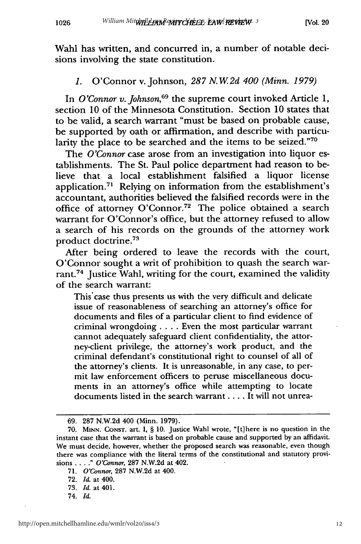Wahl has written, and concurred in, a number of notable decisions involving the state constitution.

## *1.* O'Connor v. Johnson, *287 N.W2d 400 (Minn. 1979)*

In *O'Connor v. Johnson,69* the supreme court invoked Article **1,** section **10** of the Minnesota Constitution. Section **10** states that to be valid, a search warrant "must be based on probable cause, be supported **by** oath or affirmation, and describe with particularity the place to be searched and the items to be seized."70

The *O'Connor* case arose from an investigation into liquor establishments. The St. Paul police department had reason to believe that a local establishment falsified a liquor license application.<sup>71</sup> Relying on information from the establishment's accountant, authorities believed the falsified records were in the office of attorney O'Connor.<sup>72</sup> The police obtained a search warrant for O'Connor's office, but the attorney refused to allow a search of his records on the grounds of the attorney work product doctrine.<sup>73</sup>

After being ordered to leave the records with the court, O'Connor sought a writ of prohibition to quash the search warrant.74 Justice Wahl, writing for the court, examined the validity of the search warrant:

This'case thus presents us with the very difficult and delicate issue of reasonableness of searching an attorney's office for documents and files of a particular client to find evidence of criminal wrongdoing **....** Even the most particular warrant cannot adequately safeguard client confidentiality, the attorney-client privilege, the attorney's work product, and the criminal defendant's constitutional right to counsel of all of the attorney's clients. It is unreasonable, in any case, to permit law enforcement officers to peruse miscellaneous documents in an attorney's office while attempting to locate documents listed in the search warrant **....** It will not unrea-

**<sup>69. 287</sup> N.W.2d** 400 (Minn. **1979).**

**<sup>70.</sup> MINN. CONST.** art. **I, § 10.** Justice Wahl wrote, "[t]here is no question in the instant case that the warrant is based on probable cause and supported **by** an affidavit. We must decide, however, whether the proposed search was reasonable, even though there was compliance with the literal terms of the constitutional and statutory provisions ... **."** *O'Connor,* **287 N.W.2d** at 402.

**<sup>71.</sup>** *O'Connor,* **287 N.W.2d** at 400.

**<sup>72.</sup>** *Id.* at 400.

**<sup>73.</sup>** *Id.* at 401.

<sup>74.</sup> *Id.*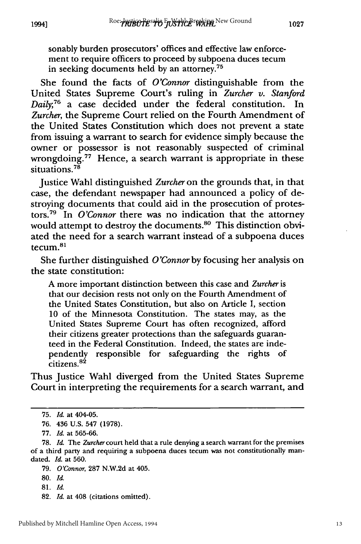sonably burden prosecutors' offices and effective law enforcement to require officers to proceed **by** subpoena duces tecum in seeking documents held **by** an attorney.75

She found the facts of *O'Connor* distinguishable from the United States Supreme Court's ruling in *Zurcher v. Stanford Daily;76* a case decided under the federal constitution. In *Zurcher,* the Supreme Court relied on the Fourth Amendment of the United States Constitution which does not prevent a state from issuing a warrant to search for evidence simply because the owner or possessor is not reasonably suspected of criminal wrongdoing.<sup>77</sup> Hence, a search warrant is appropriate in these situations.<sup>78</sup>

Justice Wahl distinguished *Zurcher* on the grounds that, in that case, the defendant newspaper had announced a policy of destroying documents that could aid in the prosecution of protestors.<sup>79</sup> In *O'Connor* there was no indication that the attorney would attempt to destroy the documents.<sup>80</sup> This distinction obviated the need for a search warrant instead of a subpoena duces tecum. <sup>81</sup>

She further distinguished *O'Connor* by focusing her analysis on the state constitution:

A more important distinction between this case and *Zurcher* is that our decision rests not only on the Fourth Amendment of the United States Constitution, but also on Article I, section 10 of the Minnesota Constitution. The states may, as the United States Supreme Court has often recognized, afford their citizens greater protections than the safeguards guaranteed in the Federal Constitution. Indeed, the states are independently responsible for safeguarding the rights of citizens.<sup>82</sup>

Thus Justice Wahl diverged from the United States Supreme Court in interpreting the requirements for a search warrant, and

**82.** *Id.* at 408 (citations omitted).

**<sup>75.</sup>** *Id.* at 404-05.

**<sup>76.</sup>** 436 U.S. 547 (1978).

**<sup>77.</sup>** *Id.* at 565-66.

**<sup>78.</sup>** *Id.* The *Zurcher* court held that a rule denying a search warrant for the premises of a third party and requiring a subpoena duces tecum was not constitutionally mandated. *Id.* at 560.

**<sup>79.</sup>** *O'Connor,* **287 N.W.2d** at 405.

**<sup>80.</sup>** *Id.*

**<sup>81.</sup>** *Id.*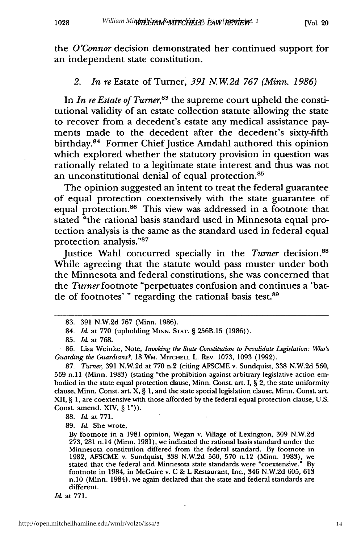1028

the *O'Connor* decision demonstrated her continued support for an independent state constitution.

#### *2. In re* Estate of Turner, *391 N. W.2d 767 (Minn. 1986)*

In *In re Estate of Turner*,<sup>83</sup> the supreme court upheld the constitutional validity of an estate collection statute allowing the state to recover from a decedent's estate any medical assistance payments made to the decedent after the decedent's sixty-fifth birthday.84 Former Chief Justice Amdahl authored this opinion which explored whether the statutory provision in question was rationally related to a legitimate state interest and thus was not an unconstitutional denial of equal protection.<sup>85</sup>

The opinion suggested an intent to treat the federal guarantee of equal protection coextensively with the state guarantee of equal protection.<sup>86</sup> This view was addressed in a footnote that stated "the rational basis standard used in Minnesota equal protection analysis is the same as the standard used in federal equal protection analysis."87

Justice Wahl concurred specially in the *Turner* decision.<sup>88</sup> While agreeing that the statute would pass muster under both the Minnesota and federal constitutions, she was concerned that the *Turner* footnote "perpetuates confusion and continues a 'battle of footnotes' " regarding the rational basis test.<sup>89</sup>

87. *Turner,* 391 N.W.2d at 770 n.2 (citing AFSCME v. Sundquist, 338 N.W.2d 560, 569 n.lI (Minn. 1983) (stating "the prohibition against arbitrary legislative action embodied in the state equal protection clause, Minn. Const. art. I,  $\S$  2, the state uniformity clause, Minn. Const. art. X, § 1, and the state special legislation clause, Minn. Const. art. XII, § 1, are coextensive with those afforded by the federal equal protection clause, U.S. Const. amend. XIV, § 1")).

88. *Id.* at 771.

89. *Id.* She wrote,

<sup>83. 391</sup> N.W.2d 767 (Minn. 1986).

<sup>84.</sup> *Id.* at **770** (upholding **MINN. STAT.** § 256B.15 **(1986)).**

<sup>85.</sup> *Id.* at 768.

<sup>86.</sup> Lisa Weinke, Note, *Invoking the State Constitution to Invalidate Legislation: Who's Guarding the Guardians?,* 18 WM. MITCHELL L. REV. 1073, 1093 (1992).

By footnote in a 1981 opinion, Wegan v. Village of Lexington, 309 N.W.2d 273, 281 n.14 (Minn. 1981), we indicated the rational basis standard under the Minnesota constitution differed from the federal standard. By footnote in 1982, AFSCME v. Sundquist, 338 N.W.2d 560, **570** n.12 (Minn. 1983), we stated that the federal and Minnesota state standards were "coextensive." By footnote in 1984, in McGuire v. C & L Restaurant, Inc., 346 N.W.2d 605, 613 n.10 (Minn. 1984), we again declared that the state and federal standards are different.

*Id.* at 771.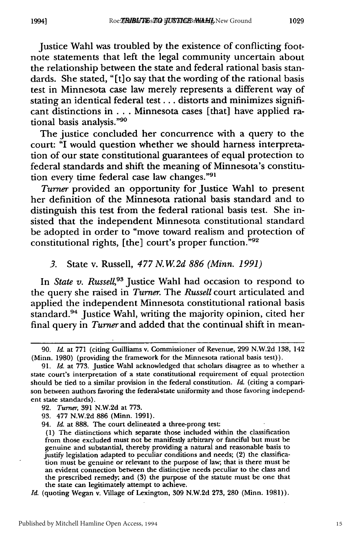Justice Wahl was troubled by the existence of conflicting footnote statements that left the legal community uncertain about the relationship between the state and federal rational basis standards. She stated, "[t]o say that the wording of the rational basis test in Minnesota case law merely represents a different way of stating an identical federal test . . . distorts and minimizes significant distinctions in . . . Minnesota cases [that] have applied rational basis analysis."<sup>96</sup>

The justice concluded her concurrence with a query to the court: "I would question whether we should harness interpretation of our state constitutional guarantees of equal protection to federal standards and shift the meaning of Minnesota's constitution every time federal case law changes."<sup>91</sup>

*Turner* provided an opportunity for Justice Wahl to present her definition of the Minnesota rational basis standard and to distinguish this test from the federal rational basis test. She insisted that the independent Minnesota constitutional standard be adopted in order to "move toward realism and protection of constitutional rights, [the] court's proper function."92

#### *3.* State v. Russell, *477 N.W2d 886 (Minn. 1991)*

In *State v. Russell,93* Justice Wahl had occasion to respond to the query she raised in *Turner.* The *Russell* court articulated and applied the independent Minnesota constitutional rational basis standard.94 Justice Wahl, writing the majority opinion, cited her final query in *Turner* and added that the continual shift in mean-

<sup>90.</sup> *Id.* at 771 (citing Guilliams v. Commissioner of Revenue, 299 N.W.2d 138, 142 (Minn. 1980) (providing the framework for the Minnesota rational basis test)).

<sup>91.</sup> *Id.* at 773. Justice Wahl acknowledged that scholars disagree as to whether a state court's interpretation of a state constitutional requirement of equal protection should be tied to a similar provision in the federal constitution. *Id.* (citing a comparison between authors favoring the federal-state uniformity and those favoring independent state standards).

**<sup>92.</sup>** *Turner,* **391** N.W.2d at 773.

**<sup>93.</sup>** 477 N.W.2d 886 (Minn. 1991).

<sup>94.</sup> *Id.* at 888. The court delineated a three-prong test:

<sup>(1)</sup> The distinctions which separate those included within the classification from those excluded must not be manifestly arbitrary or fanciful but must be genuine and substantial, thereby providing a natural and reasonable basis to justify legislation adapted to peculiar conditions and needs; (2) the classification must be genuine or relevant to the purpose of law; that is there must be an evident connection between the distinctive needs peculiar to the class and the prescribed remedy; and **(3)** the purpose of the statute must be one that the state can legitimately attempt to achieve.

*Id.* (quoting Wegan v. Village of Lexington, **309** N.W.2d **273,** 280 (Minn. 1981)).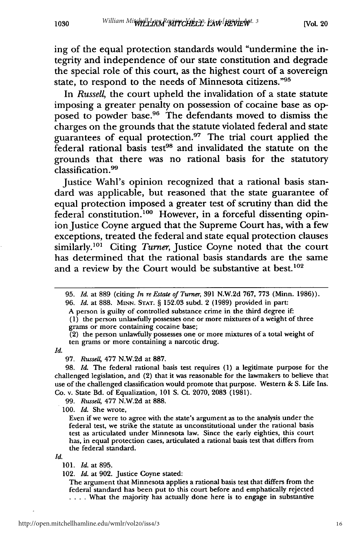ing of the equal protection standards would "undermine the integrity and independence of our state constitution and degrade the special role of this court, as the highest court of a sovereign state, to respond to the needs of Minnesota citizens."95

In *Russell,* the court upheld the invalidation of a state statute imposing a greater penalty on possession of cocaine base as opposed to powder base.<sup>96</sup> The defendants moved to dismiss the charges on the grounds that the statute violated federal and state guarantees of equal protection. $97$  The trial court applied the  $\check{F}$ ederal rational basis test<sup>98</sup> and invalidated the statute on the grounds that there was no rational basis for the statutory classification.99

Justice Wahl's opinion recognized that a rational basis standard was applicable, but reasoned that the state guarantee of equal protection imposed a greater test of scrutiny than did the federal constitution.<sup>100</sup> However, in a forceful dissenting opinion Justice Coyne argued that the Supreme Court has, with a few exceptions, treated the federal and state equal protection clauses similarly.<sup>101</sup> Citing *Turner*, Justice Coyne noted that the court has determined that the rational basis standards are the same and a review by the Court would be substantive at best.<sup>102</sup>

96. *Id.* at 888. MINN. **STAT.** § 152.03 subd. 2 (1989) provided in part:

A person is guilty of controlled substance crime in the third degree if:

(1) the person unlawfully possesses one or more mixtures of a weight of three grams or more containing cocaine base;

(2) the person unlawfully possesses one or more mixtures of a total weight of ten grams or more containing a narcotic drug.

*Id.*

1030

97. *Russell* 477 N.W.2d at 887.

98. *Id.* The federal rational basis test requires (1) a legitimate purpose for the challenged legislation, and (2) that it was reasonable for the lawmakers to believe that use of the challenged classification would promote that purpose. Western & S. Life Ins. Co. v. State Bd. of Equalization, 101 **S.** Ct. 2070, 2083 (1981).

99. *Russell,* 477 N.W.2d at 888.

100. *Id.* She wrote,

Even if we were to agree with the state's argument as to the analysis under the federal test, we strike the statute as unconstitutional under the rational basis test as articulated under Minnesota law. Since the early eighties, this court has, in equal protection cases, articulated a rational basis test that differs from the federal standard.

*Id.*

102. *Id.* at 902. Justice Coyne stated:

The argument that Minnesota applies a rational basis test that differs from the federal standard has been put to this court before and emphatically rejected **....** What the majority has actually done here is to engage in substantive

<sup>95.</sup> *Id.* at 889 (citing *In re Estate of Turner,* 391 N.W.2d 767, 773 (Minn. 1986)).

<sup>101.</sup> *Id.* at 895.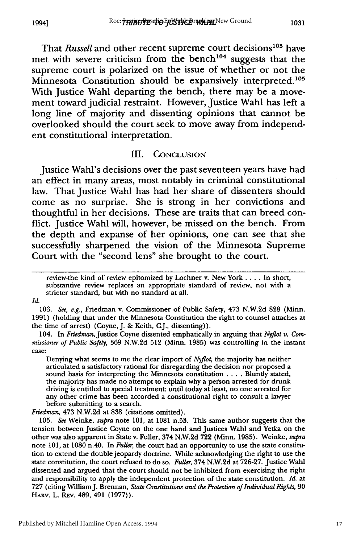That *Russell* and other recent supreme court decisions<sup>103</sup> have met with severe criticism from the bench<sup>104</sup> suggests that the supreme court is polarized on the issue of whether or not the Minnesota Constitution should be expansively interpreted.<sup>105</sup> With Justice Wahl departing the bench, there may be a movement toward judicial restraint. However, Justice Wahl has left a long line of majority and dissenting opinions that cannot be overlooked should the court seek to move away from independent constitutional interpretation.

#### III. **CONCLUSION**

Justice Wahl's decisions over the past seventeen years have had an effect in many areas, most notably in criminal constitutional law. That Justice Wahl has had her share of dissenters should come as no surprise. She is strong in her convictions and thoughtful in her decisions. These are traits that can breed conflict. Justice Wahl will, however, be missed on the bench. From the depth and expanse of her opinions, one can see that she successfully sharpened the vision of the Minnesota Supreme Court with the "second lens" she brought to the court.

review-the kind of review epitomized by Lochner v. New York .... In short, substantive review replaces an appropriate standard of review, not with a stricter standard, but with no standard at all.

#### Id.

103. See, e.g., Friedman v. Commissioner of Public Safety, 473 N.W.2d **828** (Minn. 1991) (holding that under the Minnesota Constitution the right to counsel attaches at the time of arrest) (Coyne, J. & Keith, C.J., dissenting)).

104. In *Friedman,* Justice Coyne dissented emphatically in arguing that *Nyflot v. Commissioner of Public Safety,* 369 N.W.2d 512 (Minn. 1985) was controlling in the instant case:

Denying what seems to me the clear import of *Nyflot,* the majority has neither articulated a satisfactory rational for disregarding the decision nor proposed a sound basis for interpreting the Minnesota constitution **....** Bluntly stated, the majority has made no attempt to explain why a person arrested for drunk driving is entitled to special treatment: until today at least, no one arrested for any other crime has been accorded a constitutional right to consult a lawyer before submitting to a search.

*Friedman,* 473 N.W.2d at **838** (citations omitted).

105. *See* Weinke, *supra* note 101, at 1081 n.53. This same author suggests that the tension between Justice Coyne on the one hand and Justices Wahl and Yetka on the other was also apparent in State v. Fuller, 374 N.W.2d 722 (Minn. 1985). Weinke, *supra* note 101, at 1080 n.40. In *Fuller,* the court had an opportunity to use the state constitution to extend the double jeopardy doctrine. While acknowledging the right to use the state constitution, the court refused to do so. *Fuller,* 374 N.W.2d at **726-27.** Justice Wahl dissented and argued that the court should not be inhibited from exercising the right and responsibility to apply the independent protection of the state constitution. *Id.* at **727** (citing WilliamJ. Brennan, *State Constitutions and the Protection of Individual Rights,* **90** HARv. L. REv. 489, 491 (1977)).